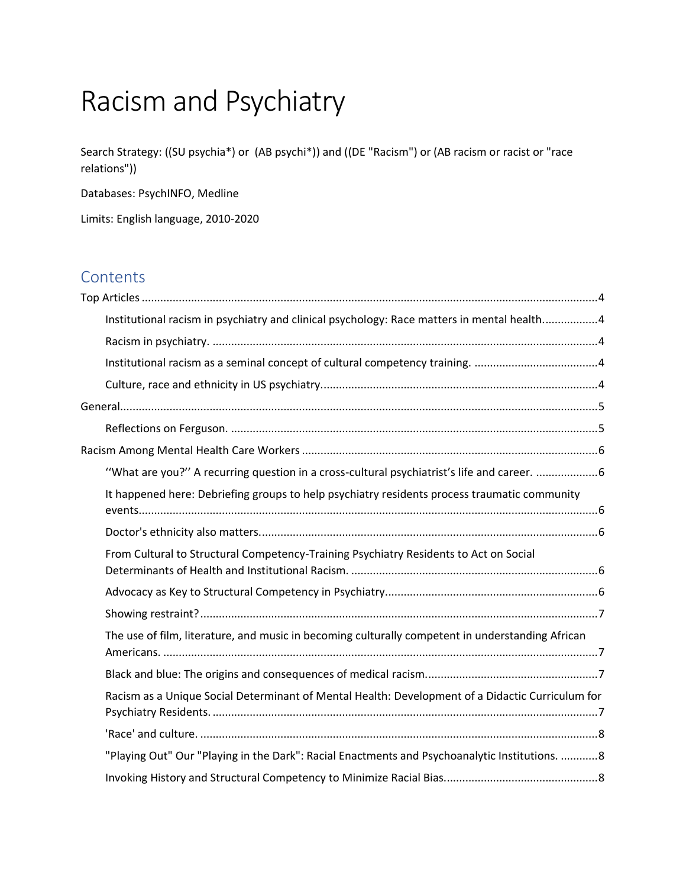# Racism and Psychiatry

Search Strategy: ((SU psychia\*) or (AB psychi\*)) and ((DE "Racism") or (AB racism or racist or "race relations"))

Databases: PsychINFO, Medline

Limits: English language, 2010-2020

# **Contents**

| Institutional racism in psychiatry and clinical psychology: Race matters in mental health4       |  |
|--------------------------------------------------------------------------------------------------|--|
|                                                                                                  |  |
|                                                                                                  |  |
|                                                                                                  |  |
|                                                                                                  |  |
|                                                                                                  |  |
|                                                                                                  |  |
| "What are you?" A recurring question in a cross-cultural psychiatrist's life and career. 6       |  |
| It happened here: Debriefing groups to help psychiatry residents process traumatic community     |  |
|                                                                                                  |  |
| From Cultural to Structural Competency-Training Psychiatry Residents to Act on Social            |  |
|                                                                                                  |  |
|                                                                                                  |  |
| The use of film, literature, and music in becoming culturally competent in understanding African |  |
|                                                                                                  |  |
| Racism as a Unique Social Determinant of Mental Health: Development of a Didactic Curriculum for |  |
|                                                                                                  |  |
| "Playing Out" Our "Playing in the Dark": Racial Enactments and Psychoanalytic Institutions. 8    |  |
|                                                                                                  |  |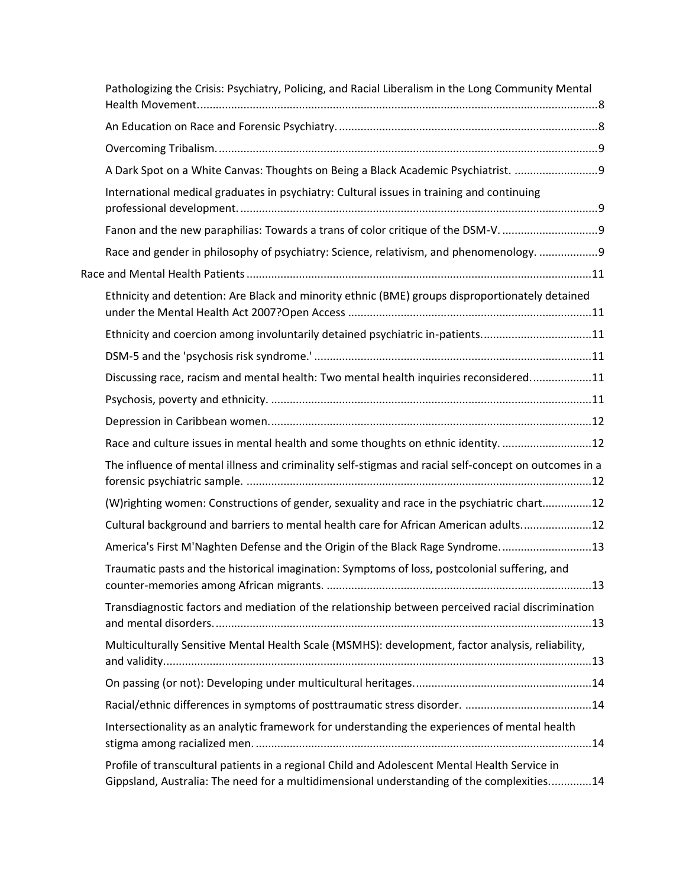| Pathologizing the Crisis: Psychiatry, Policing, and Racial Liberalism in the Long Community Mental                                                                                         |
|--------------------------------------------------------------------------------------------------------------------------------------------------------------------------------------------|
|                                                                                                                                                                                            |
|                                                                                                                                                                                            |
| A Dark Spot on a White Canvas: Thoughts on Being a Black Academic Psychiatrist. 9                                                                                                          |
| International medical graduates in psychiatry: Cultural issues in training and continuing                                                                                                  |
| Fanon and the new paraphilias: Towards a trans of color critique of the DSM-V.                                                                                                             |
| Race and gender in philosophy of psychiatry: Science, relativism, and phenomenology. 9                                                                                                     |
|                                                                                                                                                                                            |
| Ethnicity and detention: Are Black and minority ethnic (BME) groups disproportionately detained                                                                                            |
| Ethnicity and coercion among involuntarily detained psychiatric in-patients11                                                                                                              |
|                                                                                                                                                                                            |
| Discussing race, racism and mental health: Two mental health inquiries reconsidered11                                                                                                      |
|                                                                                                                                                                                            |
|                                                                                                                                                                                            |
| Race and culture issues in mental health and some thoughts on ethnic identity. 12                                                                                                          |
| The influence of mental illness and criminality self-stigmas and racial self-concept on outcomes in a                                                                                      |
| (W)righting women: Constructions of gender, sexuality and race in the psychiatric chart12                                                                                                  |
| Cultural background and barriers to mental health care for African American adults12                                                                                                       |
| America's First M'Naghten Defense and the Origin of the Black Rage Syndrome13                                                                                                              |
| Traumatic pasts and the historical imagination: Symptoms of loss, postcolonial suffering, and                                                                                              |
| Transdiagnostic factors and mediation of the relationship between perceived racial discrimination                                                                                          |
| Multiculturally Sensitive Mental Health Scale (MSMHS): development, factor analysis, reliability,                                                                                          |
|                                                                                                                                                                                            |
|                                                                                                                                                                                            |
| Intersectionality as an analytic framework for understanding the experiences of mental health                                                                                              |
| Profile of transcultural patients in a regional Child and Adolescent Mental Health Service in<br>Gippsland, Australia: The need for a multidimensional understanding of the complexities14 |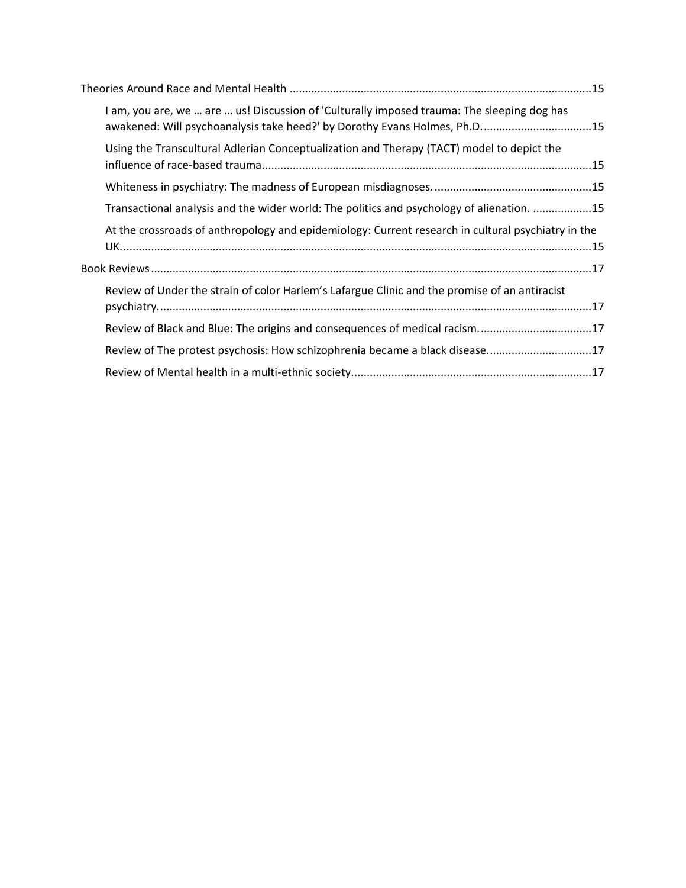| I am, you are, we  are  us! Discussion of 'Culturally imposed trauma: The sleeping dog has<br>awakened: Will psychoanalysis take heed?' by Dorothy Evans Holmes, Ph.D15 |  |  |
|-------------------------------------------------------------------------------------------------------------------------------------------------------------------------|--|--|
| Using the Transcultural Adlerian Conceptualization and Therapy (TACT) model to depict the                                                                               |  |  |
|                                                                                                                                                                         |  |  |
| Transactional analysis and the wider world: The politics and psychology of alienation. 15                                                                               |  |  |
| At the crossroads of anthropology and epidemiology: Current research in cultural psychiatry in the                                                                      |  |  |
|                                                                                                                                                                         |  |  |
| Review of Under the strain of color Harlem's Lafargue Clinic and the promise of an antiracist                                                                           |  |  |
| Review of Black and Blue: The origins and consequences of medical racism17                                                                                              |  |  |
| Review of The protest psychosis: How schizophrenia became a black disease17                                                                                             |  |  |
|                                                                                                                                                                         |  |  |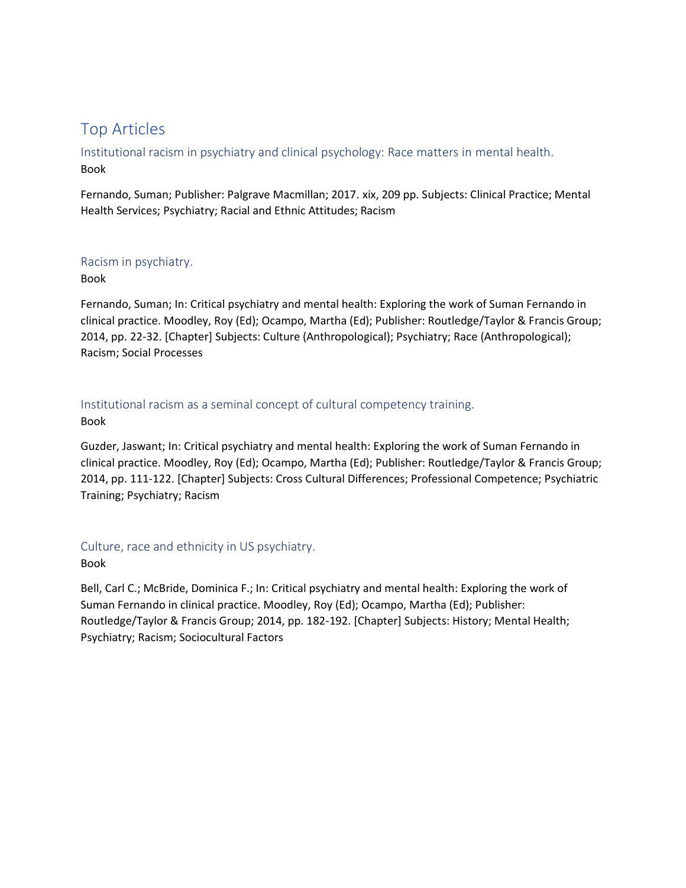# <span id="page-3-0"></span>Top Articles

<span id="page-3-1"></span>Institutional racism in psychiatry and clinical psychology: Race matters in mental health. Book

Fernando, Suman; Publisher: Palgrave Macmillan; 2017. xix, 209 pp. Subjects: Clinical Practice; Mental Health Services; Psychiatry; Racial and Ethnic Attitudes; Racism

### <span id="page-3-2"></span>Racism in psychiatry.

### Book

Fernando, Suman; In: Critical psychiatry and mental health: Exploring the work of Suman Fernando in clinical practice. Moodley, Roy (Ed); Ocampo, Martha (Ed); Publisher: Routledge/Taylor & Francis Group; 2014, pp. 22-32. [Chapter] Subjects: Culture (Anthropological); Psychiatry; Race (Anthropological); Racism; Social Processes

### <span id="page-3-3"></span>Institutional racism as a seminal concept of cultural competency training. Book

Guzder, Jaswant; In: Critical psychiatry and mental health: Exploring the work of Suman Fernando in clinical practice. Moodley, Roy (Ed); Ocampo, Martha (Ed); Publisher: Routledge/Taylor & Francis Group; 2014, pp. 111-122. [Chapter] Subjects: Cross Cultural Differences; Professional Competence; Psychiatric Training; Psychiatry; Racism

### <span id="page-3-4"></span>Culture, race and ethnicity in US psychiatry.

### Book

Bell, Carl C.; McBride, Dominica F.; In: Critical psychiatry and mental health: Exploring the work of Suman Fernando in clinical practice. Moodley, Roy (Ed); Ocampo, Martha (Ed); Publisher: Routledge/Taylor & Francis Group; 2014, pp. 182-192. [Chapter] Subjects: History; Mental Health; Psychiatry; Racism; Sociocultural Factors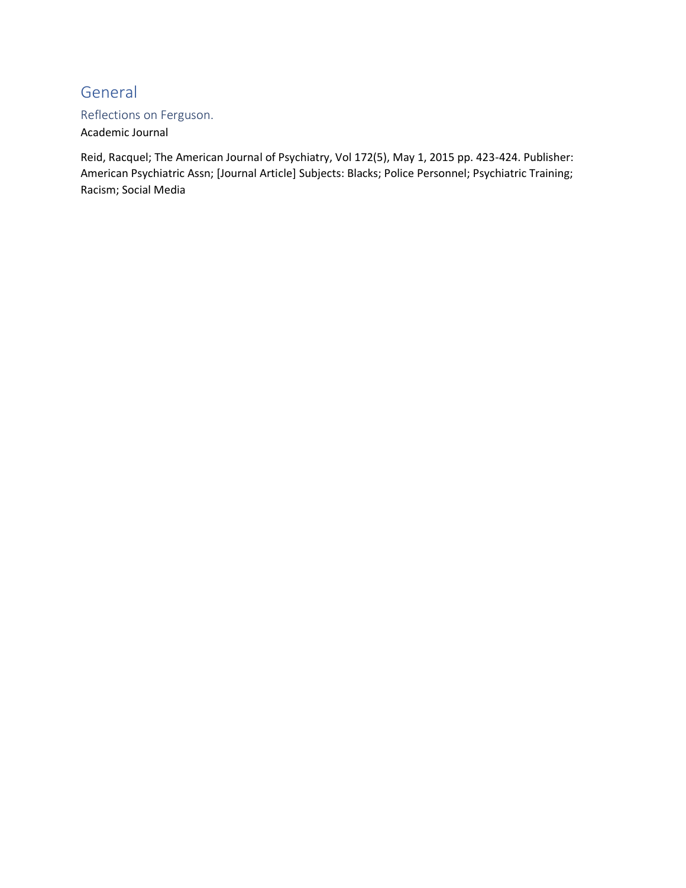# <span id="page-4-0"></span>General

### <span id="page-4-1"></span>Reflections on Ferguson.

### Academic Journal

Reid, Racquel; The American Journal of Psychiatry, Vol 172(5), May 1, 2015 pp. 423-424. Publisher: American Psychiatric Assn; [Journal Article] Subjects: Blacks; Police Personnel; Psychiatric Training; Racism; Social Media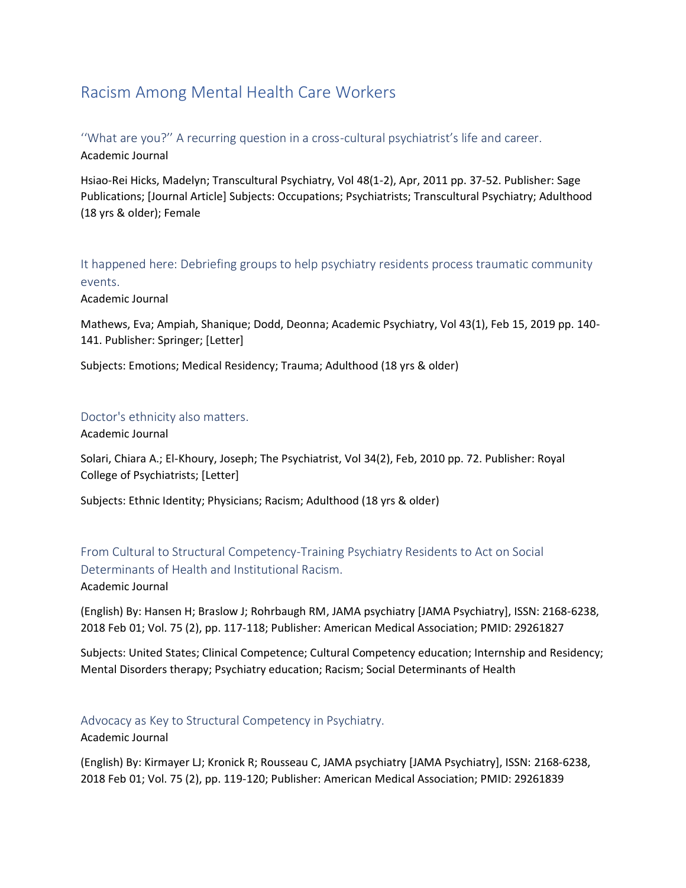# <span id="page-5-0"></span>Racism Among Mental Health Care Workers

<span id="page-5-1"></span>''What are you?'' A recurring question in a cross-cultural psychiatrist's life and career. Academic Journal

Hsiao-Rei Hicks, Madelyn; Transcultural Psychiatry, Vol 48(1-2), Apr, 2011 pp. 37-52. Publisher: Sage Publications; [Journal Article] Subjects: Occupations; Psychiatrists; Transcultural Psychiatry; Adulthood (18 yrs & older); Female

<span id="page-5-2"></span>It happened here: Debriefing groups to help psychiatry residents process traumatic community events.

Academic Journal

Mathews, Eva; Ampiah, Shanique; Dodd, Deonna; Academic Psychiatry, Vol 43(1), Feb 15, 2019 pp. 140- 141. Publisher: Springer; [Letter]

Subjects: Emotions; Medical Residency; Trauma; Adulthood (18 yrs & older)

### <span id="page-5-3"></span>Doctor's ethnicity also matters.

Academic Journal

Solari, Chiara A.; El-Khoury, Joseph; The Psychiatrist, Vol 34(2), Feb, 2010 pp. 72. Publisher: Royal College of Psychiatrists; [Letter]

Subjects: Ethnic Identity; Physicians; Racism; Adulthood (18 yrs & older)

<span id="page-5-4"></span>From Cultural to Structural Competency-Training Psychiatry Residents to Act on Social Determinants of Health and Institutional Racism.

Academic Journal

(English) By: Hansen H; Braslow J; Rohrbaugh RM, JAMA psychiatry [JAMA Psychiatry], ISSN: 2168-6238, 2018 Feb 01; Vol. 75 (2), pp. 117-118; Publisher: American Medical Association; PMID: 29261827

Subjects: United States; Clinical Competence; Cultural Competency education; Internship and Residency; Mental Disorders therapy; Psychiatry education; Racism; Social Determinants of Health

### <span id="page-5-5"></span>Advocacy as Key to Structural Competency in Psychiatry.

Academic Journal

(English) By: Kirmayer LJ; Kronick R; Rousseau C, JAMA psychiatry [JAMA Psychiatry], ISSN: 2168-6238, 2018 Feb 01; Vol. 75 (2), pp. 119-120; Publisher: American Medical Association; PMID: 29261839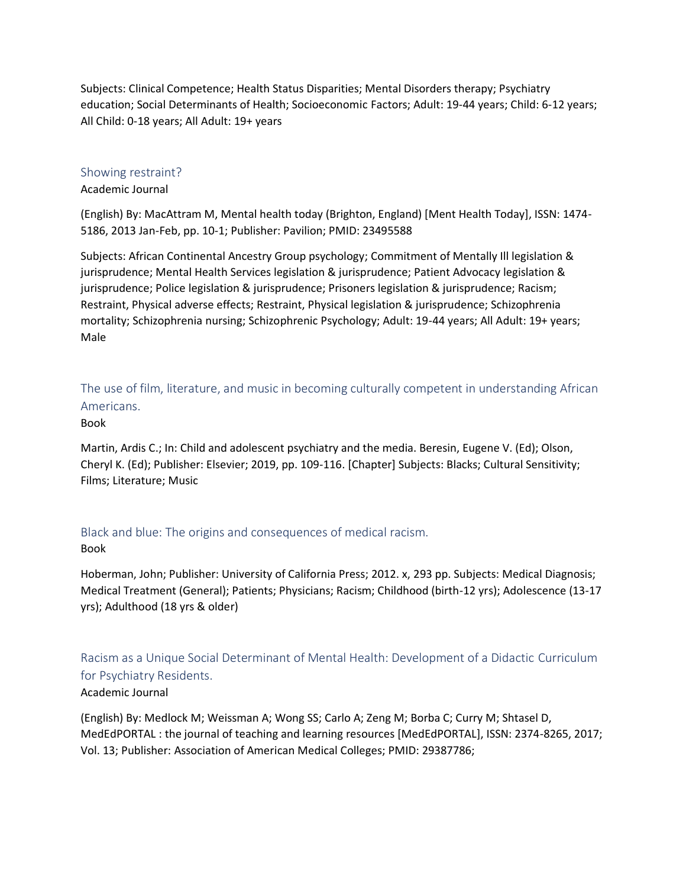Subjects: Clinical Competence; Health Status Disparities; Mental Disorders therapy; Psychiatry education; Social Determinants of Health; Socioeconomic Factors; Adult: 19-44 years; Child: 6-12 years; All Child: 0-18 years; All Adult: 19+ years

#### <span id="page-6-0"></span>Showing restraint?

#### Academic Journal

(English) By: MacAttram M, Mental health today (Brighton, England) [Ment Health Today], ISSN: 1474- 5186, 2013 Jan-Feb, pp. 10-1; Publisher: Pavilion; PMID: 23495588

Subjects: African Continental Ancestry Group psychology; Commitment of Mentally Ill legislation & jurisprudence; Mental Health Services legislation & jurisprudence; Patient Advocacy legislation & jurisprudence; Police legislation & jurisprudence; Prisoners legislation & jurisprudence; Racism; Restraint, Physical adverse effects; Restraint, Physical legislation & jurisprudence; Schizophrenia mortality; Schizophrenia nursing; Schizophrenic Psychology; Adult: 19-44 years; All Adult: 19+ years; Male

<span id="page-6-1"></span>The use of film, literature, and music in becoming culturally competent in understanding African Americans.

### Book

Martin, Ardis C.; In: Child and adolescent psychiatry and the media. Beresin, Eugene V. (Ed); Olson, Cheryl K. (Ed); Publisher: Elsevier; 2019, pp. 109-116. [Chapter] Subjects: Blacks; Cultural Sensitivity; Films; Literature; Music

### <span id="page-6-2"></span>Black and blue: The origins and consequences of medical racism.

### Book

Hoberman, John; Publisher: University of California Press; 2012. x, 293 pp. Subjects: Medical Diagnosis; Medical Treatment (General); Patients; Physicians; Racism; Childhood (birth-12 yrs); Adolescence (13-17 yrs); Adulthood (18 yrs & older)

# <span id="page-6-3"></span>Racism as a Unique Social Determinant of Mental Health: Development of a Didactic Curriculum for Psychiatry Residents.

### Academic Journal

(English) By: Medlock M; Weissman A; Wong SS; Carlo A; Zeng M; Borba C; Curry M; Shtasel D, MedEdPORTAL : the journal of teaching and learning resources [MedEdPORTAL], ISSN: 2374-8265, 2017; Vol. 13; Publisher: Association of American Medical Colleges; PMID: 29387786;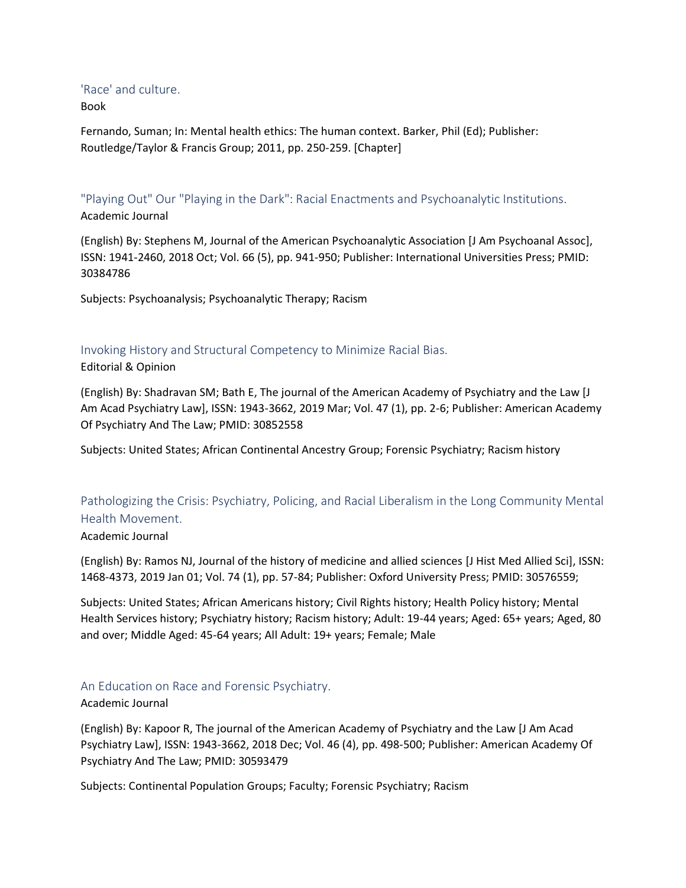### <span id="page-7-0"></span>'Race' and culture.

Book

Fernando, Suman; In: Mental health ethics: The human context. Barker, Phil (Ed); Publisher: Routledge/Taylor & Francis Group; 2011, pp. 250-259. [Chapter]

<span id="page-7-1"></span>"Playing Out" Our "Playing in the Dark": Racial Enactments and Psychoanalytic Institutions. Academic Journal

(English) By: Stephens M, Journal of the American Psychoanalytic Association [J Am Psychoanal Assoc], ISSN: 1941-2460, 2018 Oct; Vol. 66 (5), pp. 941-950; Publisher: International Universities Press; PMID: 30384786

Subjects: Psychoanalysis; Psychoanalytic Therapy; Racism

# <span id="page-7-2"></span>Invoking History and Structural Competency to Minimize Racial Bias.

Editorial & Opinion

(English) By: Shadravan SM; Bath E, The journal of the American Academy of Psychiatry and the Law [J Am Acad Psychiatry Law], ISSN: 1943-3662, 2019 Mar; Vol. 47 (1), pp. 2-6; Publisher: American Academy Of Psychiatry And The Law; PMID: 30852558

Subjects: United States; African Continental Ancestry Group; Forensic Psychiatry; Racism history

# <span id="page-7-3"></span>Pathologizing the Crisis: Psychiatry, Policing, and Racial Liberalism in the Long Community Mental Health Movement.

### Academic Journal

(English) By: Ramos NJ, Journal of the history of medicine and allied sciences [J Hist Med Allied Sci], ISSN: 1468-4373, 2019 Jan 01; Vol. 74 (1), pp. 57-84; Publisher: Oxford University Press; PMID: 30576559;

Subjects: United States; African Americans history; Civil Rights history; Health Policy history; Mental Health Services history; Psychiatry history; Racism history; Adult: 19-44 years; Aged: 65+ years; Aged, 80 and over; Middle Aged: 45-64 years; All Adult: 19+ years; Female; Male

### <span id="page-7-4"></span>An Education on Race and Forensic Psychiatry.

### Academic Journal

(English) By: Kapoor R, The journal of the American Academy of Psychiatry and the Law [J Am Acad Psychiatry Law], ISSN: 1943-3662, 2018 Dec; Vol. 46 (4), pp. 498-500; Publisher: American Academy Of Psychiatry And The Law; PMID: 30593479

Subjects: Continental Population Groups; Faculty; Forensic Psychiatry; Racism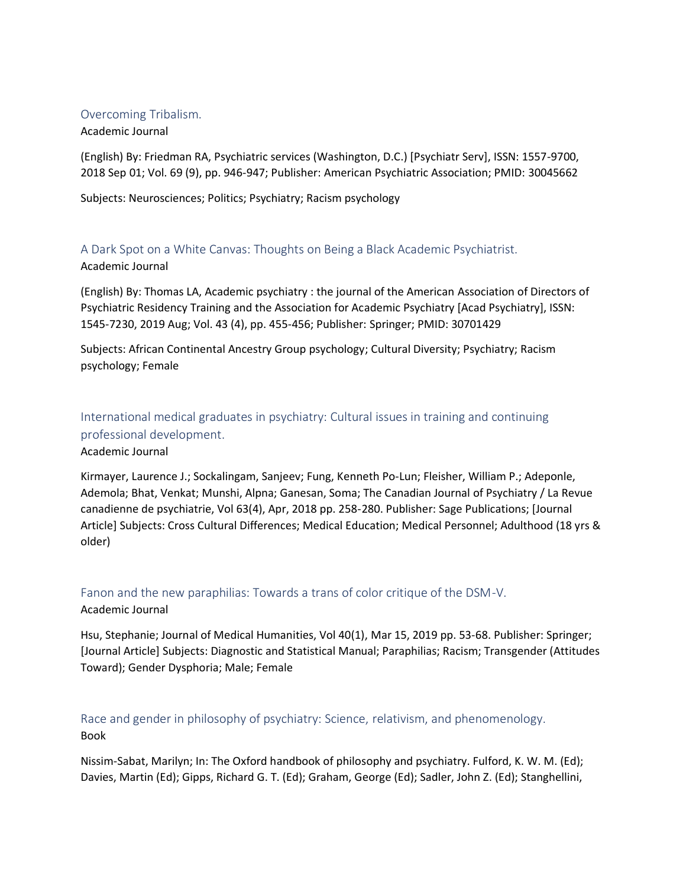### <span id="page-8-0"></span>Overcoming Tribalism.

#### Academic Journal

(English) By: Friedman RA, Psychiatric services (Washington, D.C.) [Psychiatr Serv], ISSN: 1557-9700, 2018 Sep 01; Vol. 69 (9), pp. 946-947; Publisher: American Psychiatric Association; PMID: 30045662

Subjects: Neurosciences; Politics; Psychiatry; Racism psychology

<span id="page-8-1"></span>A Dark Spot on a White Canvas: Thoughts on Being a Black Academic Psychiatrist.

### Academic Journal

(English) By: Thomas LA, Academic psychiatry : the journal of the American Association of Directors of Psychiatric Residency Training and the Association for Academic Psychiatry [Acad Psychiatry], ISSN: 1545-7230, 2019 Aug; Vol. 43 (4), pp. 455-456; Publisher: Springer; PMID: 30701429

Subjects: African Continental Ancestry Group psychology; Cultural Diversity; Psychiatry; Racism psychology; Female

# <span id="page-8-2"></span>International medical graduates in psychiatry: Cultural issues in training and continuing professional development.

Academic Journal

Kirmayer, Laurence J.; Sockalingam, Sanjeev; Fung, Kenneth Po-Lun; Fleisher, William P.; Adeponle, Ademola; Bhat, Venkat; Munshi, Alpna; Ganesan, Soma; The Canadian Journal of Psychiatry / La Revue canadienne de psychiatrie, Vol 63(4), Apr, 2018 pp. 258-280. Publisher: Sage Publications; [Journal Article] Subjects: Cross Cultural Differences; Medical Education; Medical Personnel; Adulthood (18 yrs & older)

### <span id="page-8-3"></span>Fanon and the new paraphilias: Towards a trans of color critique of the DSM-V. Academic Journal

Hsu, Stephanie; Journal of Medical Humanities, Vol 40(1), Mar 15, 2019 pp. 53-68. Publisher: Springer; [Journal Article] Subjects: Diagnostic and Statistical Manual; Paraphilias; Racism; Transgender (Attitudes Toward); Gender Dysphoria; Male; Female

# <span id="page-8-4"></span>Race and gender in philosophy of psychiatry: Science, relativism, and phenomenology. Book

Nissim-Sabat, Marilyn; In: The Oxford handbook of philosophy and psychiatry. Fulford, K. W. M. (Ed); Davies, Martin (Ed); Gipps, Richard G. T. (Ed); Graham, George (Ed); Sadler, John Z. (Ed); Stanghellini,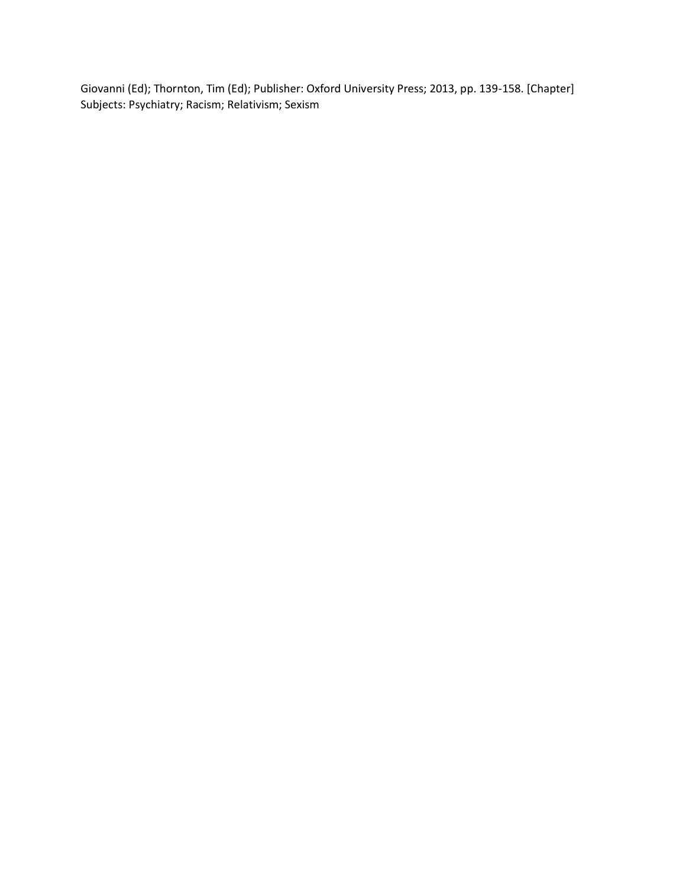Giovanni (Ed); Thornton, Tim (Ed); Publisher: Oxford University Press; 2013, pp. 139-158. [Chapter] Subjects: Psychiatry; Racism; Relativism; Sexism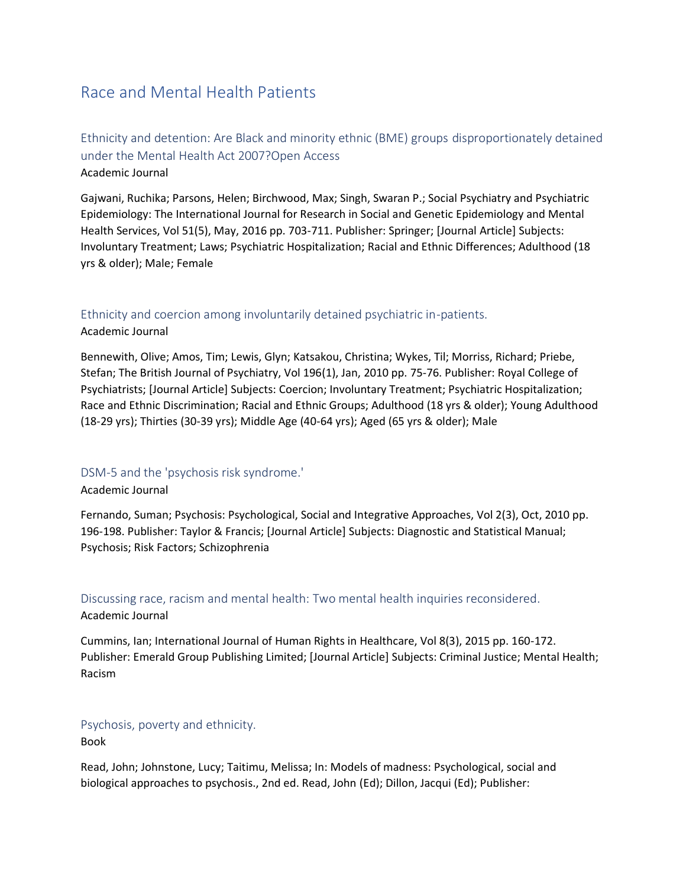# <span id="page-10-0"></span>Race and Mental Health Patients

### <span id="page-10-1"></span>Ethnicity and detention: Are Black and minority ethnic (BME) groups disproportionately detained under the Mental Health Act 2007?Open Access Academic Journal

Gajwani, Ruchika; Parsons, Helen; Birchwood, Max; Singh, Swaran P.; Social Psychiatry and Psychiatric Epidemiology: The International Journal for Research in Social and Genetic Epidemiology and Mental Health Services, Vol 51(5), May, 2016 pp. 703-711. Publisher: Springer; [Journal Article] Subjects: Involuntary Treatment; Laws; Psychiatric Hospitalization; Racial and Ethnic Differences; Adulthood (18 yrs & older); Male; Female

### <span id="page-10-2"></span>Ethnicity and coercion among involuntarily detained psychiatric in-patients. Academic Journal

Bennewith, Olive; Amos, Tim; Lewis, Glyn; Katsakou, Christina; Wykes, Til; Morriss, Richard; Priebe, Stefan; The British Journal of Psychiatry, Vol 196(1), Jan, 2010 pp. 75-76. Publisher: Royal College of Psychiatrists; [Journal Article] Subjects: Coercion; Involuntary Treatment; Psychiatric Hospitalization; Race and Ethnic Discrimination; Racial and Ethnic Groups; Adulthood (18 yrs & older); Young Adulthood (18-29 yrs); Thirties (30-39 yrs); Middle Age (40-64 yrs); Aged (65 yrs & older); Male

### <span id="page-10-3"></span>DSM-5 and the 'psychosis risk syndrome.'

### Academic Journal

Fernando, Suman; Psychosis: Psychological, Social and Integrative Approaches, Vol 2(3), Oct, 2010 pp. 196-198. Publisher: Taylor & Francis; [Journal Article] Subjects: Diagnostic and Statistical Manual; Psychosis; Risk Factors; Schizophrenia

# <span id="page-10-4"></span>Discussing race, racism and mental health: Two mental health inquiries reconsidered.

#### Academic Journal

Cummins, Ian; International Journal of Human Rights in Healthcare, Vol 8(3), 2015 pp. 160-172. Publisher: Emerald Group Publishing Limited; [Journal Article] Subjects: Criminal Justice; Mental Health; Racism

### <span id="page-10-5"></span>Psychosis, poverty and ethnicity.

Book

Read, John; Johnstone, Lucy; Taitimu, Melissa; In: Models of madness: Psychological, social and biological approaches to psychosis., 2nd ed. Read, John (Ed); Dillon, Jacqui (Ed); Publisher: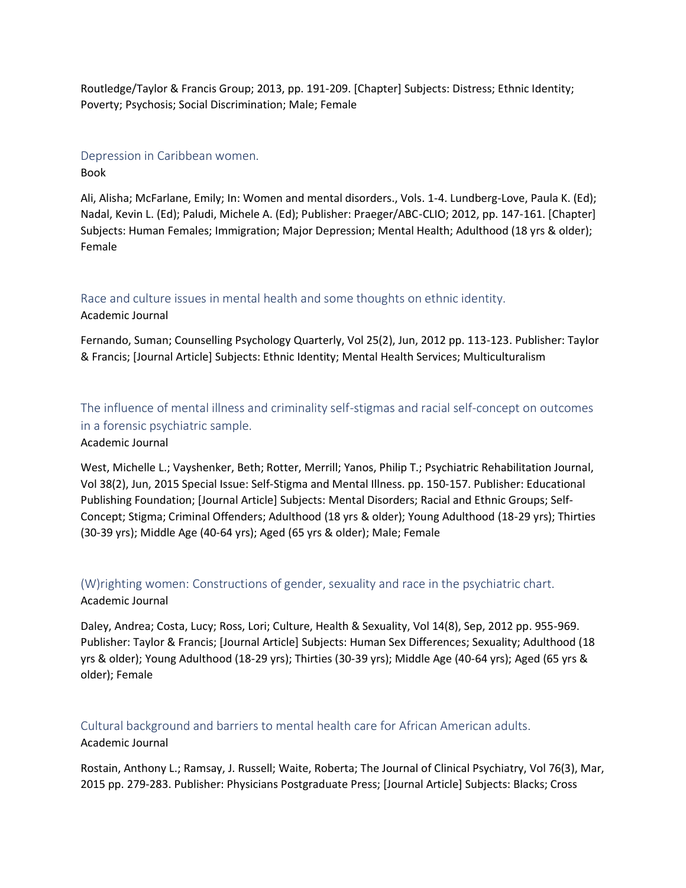Routledge/Taylor & Francis Group; 2013, pp. 191-209. [Chapter] Subjects: Distress; Ethnic Identity; Poverty; Psychosis; Social Discrimination; Male; Female

### <span id="page-11-0"></span>Depression in Caribbean women.

Book

Ali, Alisha; McFarlane, Emily; In: Women and mental disorders., Vols. 1-4. Lundberg-Love, Paula K. (Ed); Nadal, Kevin L. (Ed); Paludi, Michele A. (Ed); Publisher: Praeger/ABC-CLIO; 2012, pp. 147-161. [Chapter] Subjects: Human Females; Immigration; Major Depression; Mental Health; Adulthood (18 yrs & older); Female

## <span id="page-11-1"></span>Race and culture issues in mental health and some thoughts on ethnic identity. Academic Journal

Fernando, Suman; Counselling Psychology Quarterly, Vol 25(2), Jun, 2012 pp. 113-123. Publisher: Taylor & Francis; [Journal Article] Subjects: Ethnic Identity; Mental Health Services; Multiculturalism

<span id="page-11-2"></span>The influence of mental illness and criminality self-stigmas and racial self-concept on outcomes in a forensic psychiatric sample.

Academic Journal

West, Michelle L.; Vayshenker, Beth; Rotter, Merrill; Yanos, Philip T.; Psychiatric Rehabilitation Journal, Vol 38(2), Jun, 2015 Special Issue: Self-Stigma and Mental Illness. pp. 150-157. Publisher: Educational Publishing Foundation; [Journal Article] Subjects: Mental Disorders; Racial and Ethnic Groups; Self-Concept; Stigma; Criminal Offenders; Adulthood (18 yrs & older); Young Adulthood (18-29 yrs); Thirties (30-39 yrs); Middle Age (40-64 yrs); Aged (65 yrs & older); Male; Female

# <span id="page-11-3"></span>(W)righting women: Constructions of gender, sexuality and race in the psychiatric chart. Academic Journal

Daley, Andrea; Costa, Lucy; Ross, Lori; Culture, Health & Sexuality, Vol 14(8), Sep, 2012 pp. 955-969. Publisher: Taylor & Francis; [Journal Article] Subjects: Human Sex Differences; Sexuality; Adulthood (18 yrs & older); Young Adulthood (18-29 yrs); Thirties (30-39 yrs); Middle Age (40-64 yrs); Aged (65 yrs & older); Female

### <span id="page-11-4"></span>Cultural background and barriers to mental health care for African American adults. Academic Journal

Rostain, Anthony L.; Ramsay, J. Russell; Waite, Roberta; The Journal of Clinical Psychiatry, Vol 76(3), Mar, 2015 pp. 279-283. Publisher: Physicians Postgraduate Press; [Journal Article] Subjects: Blacks; Cross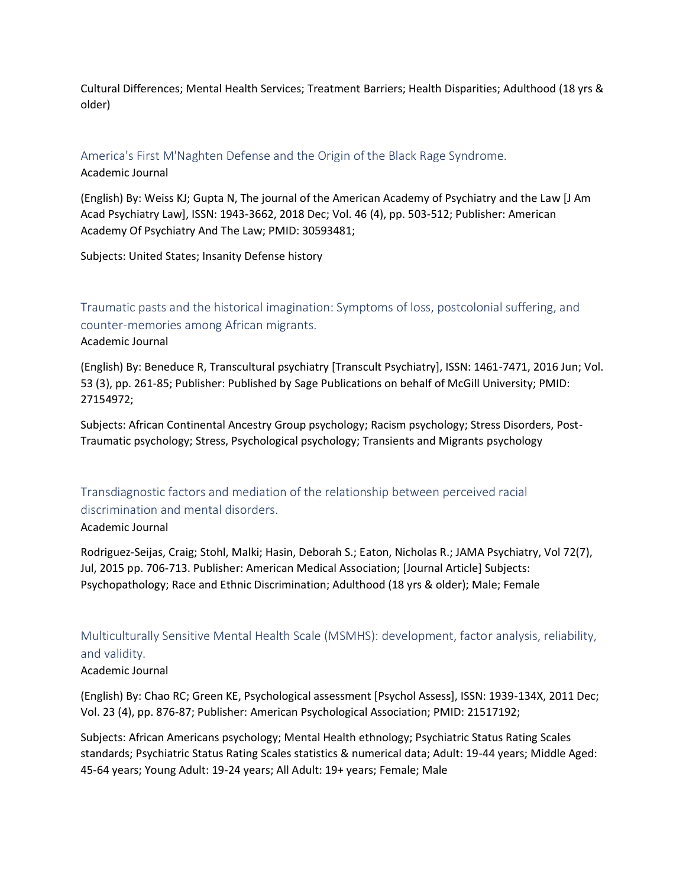Cultural Differences; Mental Health Services; Treatment Barriers; Health Disparities; Adulthood (18 yrs & older)

### <span id="page-12-0"></span>America's First M'Naghten Defense and the Origin of the Black Rage Syndrome.

Academic Journal

(English) By: Weiss KJ; Gupta N, The journal of the American Academy of Psychiatry and the Law [J Am Acad Psychiatry Law], ISSN: 1943-3662, 2018 Dec; Vol. 46 (4), pp. 503-512; Publisher: American Academy Of Psychiatry And The Law; PMID: 30593481;

Subjects: United States; Insanity Defense history

<span id="page-12-1"></span>Traumatic pasts and the historical imagination: Symptoms of loss, postcolonial suffering, and counter-memories among African migrants.

Academic Journal

(English) By: Beneduce R, Transcultural psychiatry [Transcult Psychiatry], ISSN: 1461-7471, 2016 Jun; Vol. 53 (3), pp. 261-85; Publisher: Published by Sage Publications on behalf of McGill University; PMID: 27154972;

Subjects: African Continental Ancestry Group psychology; Racism psychology; Stress Disorders, Post-Traumatic psychology; Stress, Psychological psychology; Transients and Migrants psychology

<span id="page-12-2"></span>Transdiagnostic factors and mediation of the relationship between perceived racial discrimination and mental disorders. Academic Journal

Rodriguez-Seijas, Craig; Stohl, Malki; Hasin, Deborah S.; Eaton, Nicholas R.; JAMA Psychiatry, Vol 72(7), Jul, 2015 pp. 706-713. Publisher: American Medical Association; [Journal Article] Subjects: Psychopathology; Race and Ethnic Discrimination; Adulthood (18 yrs & older); Male; Female

<span id="page-12-3"></span>Multiculturally Sensitive Mental Health Scale (MSMHS): development, factor analysis, reliability, and validity.

### Academic Journal

(English) By: Chao RC; Green KE, Psychological assessment [Psychol Assess], ISSN: 1939-134X, 2011 Dec; Vol. 23 (4), pp. 876-87; Publisher: American Psychological Association; PMID: 21517192;

Subjects: African Americans psychology; Mental Health ethnology; Psychiatric Status Rating Scales standards; Psychiatric Status Rating Scales statistics & numerical data; Adult: 19-44 years; Middle Aged: 45-64 years; Young Adult: 19-24 years; All Adult: 19+ years; Female; Male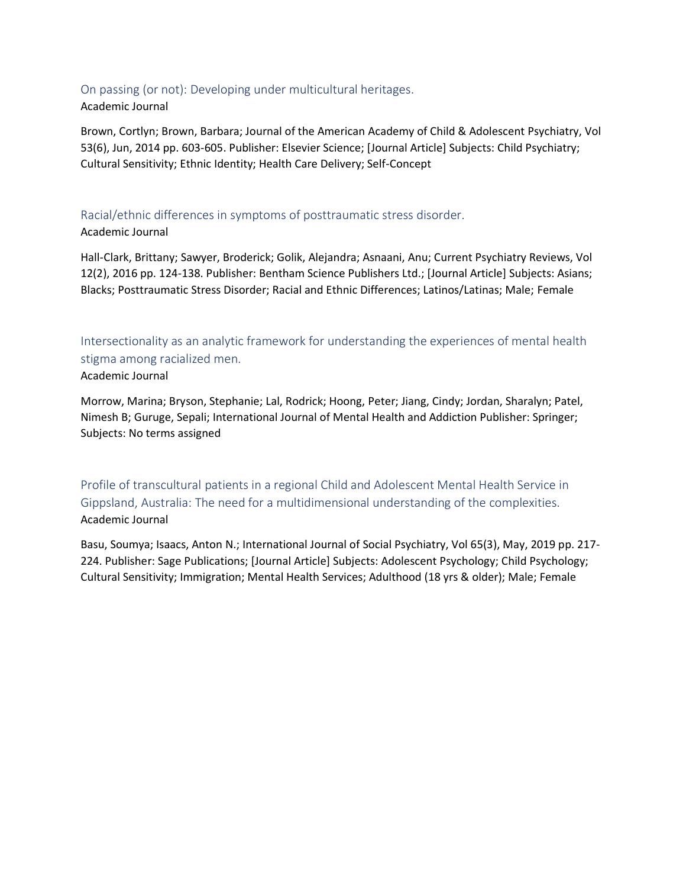### <span id="page-13-0"></span>On passing (or not): Developing under multicultural heritages. Academic Journal

Brown, Cortlyn; Brown, Barbara; Journal of the American Academy of Child & Adolescent Psychiatry, Vol 53(6), Jun, 2014 pp. 603-605. Publisher: Elsevier Science; [Journal Article] Subjects: Child Psychiatry; Cultural Sensitivity; Ethnic Identity; Health Care Delivery; Self-Concept

### <span id="page-13-1"></span>Racial/ethnic differences in symptoms of posttraumatic stress disorder. Academic Journal

Hall-Clark, Brittany; Sawyer, Broderick; Golik, Alejandra; Asnaani, Anu; Current Psychiatry Reviews, Vol 12(2), 2016 pp. 124-138. Publisher: Bentham Science Publishers Ltd.; [Journal Article] Subjects: Asians; Blacks; Posttraumatic Stress Disorder; Racial and Ethnic Differences; Latinos/Latinas; Male; Female

<span id="page-13-2"></span>Intersectionality as an analytic framework for understanding the experiences of mental health stigma among racialized men.

### Academic Journal

Morrow, Marina; Bryson, Stephanie; Lal, Rodrick; Hoong, Peter; Jiang, Cindy; Jordan, Sharalyn; Patel, Nimesh B; Guruge, Sepali; International Journal of Mental Health and Addiction Publisher: Springer; Subjects: No terms assigned

<span id="page-13-3"></span>Profile of transcultural patients in a regional Child and Adolescent Mental Health Service in Gippsland, Australia: The need for a multidimensional understanding of the complexities. Academic Journal

Basu, Soumya; Isaacs, Anton N.; International Journal of Social Psychiatry, Vol 65(3), May, 2019 pp. 217- 224. Publisher: Sage Publications; [Journal Article] Subjects: Adolescent Psychology; Child Psychology; Cultural Sensitivity; Immigration; Mental Health Services; Adulthood (18 yrs & older); Male; Female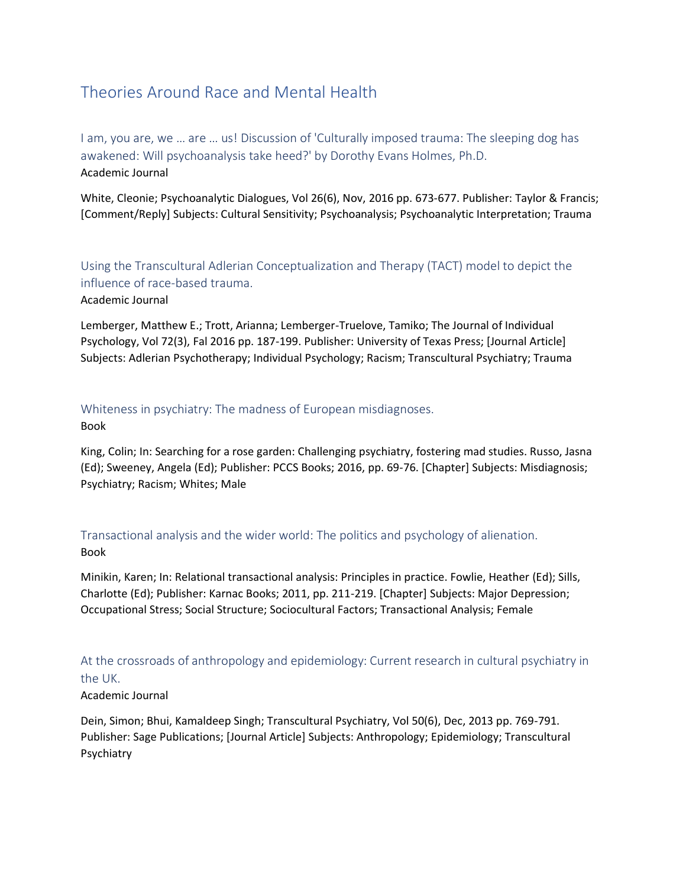# <span id="page-14-0"></span>Theories Around Race and Mental Health

<span id="page-14-1"></span>I am, you are, we … are … us! Discussion of 'Culturally imposed trauma: The sleeping dog has awakened: Will psychoanalysis take heed?' by Dorothy Evans Holmes, Ph.D. Academic Journal

White, Cleonie; Psychoanalytic Dialogues, Vol 26(6), Nov, 2016 pp. 673-677. Publisher: Taylor & Francis; [Comment/Reply] Subjects: Cultural Sensitivity; Psychoanalysis; Psychoanalytic Interpretation; Trauma

<span id="page-14-2"></span>Using the Transcultural Adlerian Conceptualization and Therapy (TACT) model to depict the influence of race-based trauma.

Academic Journal

Lemberger, Matthew E.; Trott, Arianna; Lemberger-Truelove, Tamiko; The Journal of Individual Psychology, Vol 72(3), Fal 2016 pp. 187-199. Publisher: University of Texas Press; [Journal Article] Subjects: Adlerian Psychotherapy; Individual Psychology; Racism; Transcultural Psychiatry; Trauma

### <span id="page-14-3"></span>Whiteness in psychiatry: The madness of European misdiagnoses. Book

King, Colin; In: Searching for a rose garden: Challenging psychiatry, fostering mad studies. Russo, Jasna (Ed); Sweeney, Angela (Ed); Publisher: PCCS Books; 2016, pp. 69-76. [Chapter] Subjects: Misdiagnosis; Psychiatry; Racism; Whites; Male

<span id="page-14-4"></span>Transactional analysis and the wider world: The politics and psychology of alienation. Book

Minikin, Karen; In: Relational transactional analysis: Principles in practice. Fowlie, Heather (Ed); Sills, Charlotte (Ed); Publisher: Karnac Books; 2011, pp. 211-219. [Chapter] Subjects: Major Depression; Occupational Stress; Social Structure; Sociocultural Factors; Transactional Analysis; Female

<span id="page-14-5"></span>At the crossroads of anthropology and epidemiology: Current research in cultural psychiatry in the UK.

### Academic Journal

Dein, Simon; Bhui, Kamaldeep Singh; Transcultural Psychiatry, Vol 50(6), Dec, 2013 pp. 769-791. Publisher: Sage Publications; [Journal Article] Subjects: Anthropology; Epidemiology; Transcultural Psychiatry